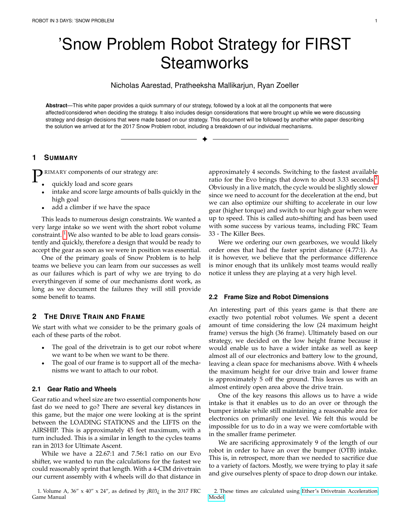# <span id="page-0-2"></span>'Snow Problem Robot Strategy for FIRST **Steamworks**

Nicholas Aarestad, Pratheeksha Mallikarjun, Ryan Zoeller

**Abstract**—This white paper provides a quick summary of our strategy, followed by a look at all the components that were affected/considered when deciding the strategy. It also includes design considerations that were brought up while we were discussing strategy and design decisions that were made based on our strategy. This document will be followed by another white paper describing the solution we arrived at for the 2017 Snow Problem robot, including a breakdown of our individual mechanisms.

✦

# **1 SUMMARY**

**P** RIMARY components of our strategy are:<br>
quickly load and score gears

- quickly load and score gears
- intake and score large amounts of balls quickly in the high goal
- add a climber if we have the space

This leads to numerous design constraints. We wanted a very large intake so we went with the short robot volume constraint.  $<sup>1</sup>$  $<sup>1</sup>$  $<sup>1</sup>$  We also wanted to be able to load gears consis-</sup> tently and quickly, therefore a design that would be ready to accept the gear as soon as we were in position was essential.

One of the primary goals of Snow Problem is to help teams we believe you can learn from our successes as well as our failures which is part of why we are trying to do everythingeven if some of our mechanisms dont work, as long as we document the failures they will still provide some benefit to teams.

# **2 THE DRIVE TRAIN AND FRAME**

We start with what we consider to be the primary goals of each of these parts of the robot.

- The goal of the drivetrain is to get our robot where we want to be when we want to be there.
- The goal of our frame is to support all of the mechanisms we want to attach to our robot.

## **2.1 Gear Ratio and Wheels**

Gear ratio and wheel size are two essential components how fast do we need to go? There are several key distances in this game, but the major one were looking at is the sprint between the LOADING STATIONS and the LIFTS on the AIRSHIP. This is approximately 45 feet maximum, with a turn included. This is a similar in length to the cycles teams ran in 2013 for Ultimate Ascent.

While we have a 22.67:1 and 7.56:1 ratio on our Evo shifter, we wanted to run the calculations for the fastest we could reasonably sprint that length. With a 4-CIM drivetrain our current assembly with 4 wheels will do that distance in approximately 4 seconds. Switching to the fastest available ratio for the Evo brings that down to about 3.33 seconds.<sup>[2](#page-0-1)</sup> Obviously in a live match, the cycle would be slightly slower since we need to account for the deceleration at the end, but we can also optimize our shifting to accelerate in our low gear (higher torque) and switch to our high gear when were up to speed. This is called auto-shifting and has been used with some success by various teams, including FRC Team 33 - The Killer Bees.

Were we ordering our own gearboxes, we would likely order ones that had the faster sprint distance (4.77:1). As it is however, we believe that the performance difference is minor enough that its unlikely most teams would really notice it unless they are playing at a very high level.

## **2.2 Frame Size and Robot Dimensions**

An interesting part of this years game is that there are exactly two potential robot volumes. We spent a decent amount of time considering the low (24 maximum height frame) versus the high (36 frame). Ultimately based on our strategy, we decided on the low height frame because it would enable us to have a wider intake as well as keep almost all of our electronics and battery low to the ground, leaving a clean space for mechanisms above. With 4 wheels the maximum height for our drive train and lower frame is approximately 5 off the ground. This leaves us with an almost entirely open area above the drive train.

One of the key reasons this allows us to have a wide intake is that it enables us to do an over or through the bumper intake while still maintaining a reasonable area for electronics on primarily one level. We felt this would be impossible for us to do in a way we were comfortable with in the smaller frame perimeter.

We are sacrificing approximately 9 of the length of our robot in order to have an over the bumper (OTB) intake. This is, in retrospect, more than we needed to sacrifice due to a variety of factors. Mostly, we were trying to play it safe and give ourselves plenty of space to drop down our intake.

<span id="page-0-0"></span><sup>1.</sup> Volume A,  $36'' \times 40'' \times 24''$ , as defined by  $iR03$  $i$  in the 2017 FRC Game Manual

<span id="page-0-1"></span><sup>2.</sup> These times are calculated using [Ether's Drivetrain Acceleration](https://www.chiefdelphi.com/media/papers/2868) [Model](https://www.chiefdelphi.com/media/papers/2868)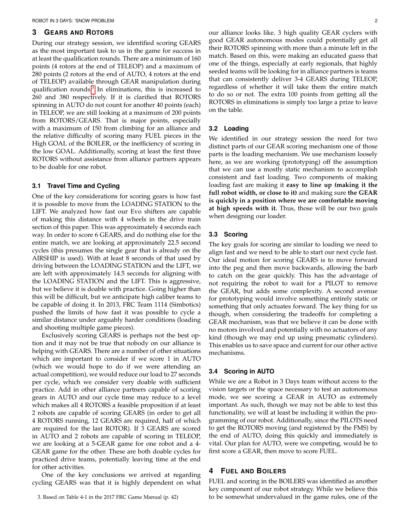## **3 GEARS AND ROTORS**

During our strategy session, we identified scoring GEARS as the most important task to us in the game for success in at least the qualification rounds. There are a minimum of 160 points (4 rotors at the end of TELEOP) and a maximum of 280 points (2 rotors at the end of AUTO, 4 rotors at the end of TELEOP) available through GEAR manipulation during qualification rounds.<sup>[3](#page-1-0)</sup> In eliminations, this is increased to 260 and 380 respectively. If it is clarified that ROTORS spinning in AUTO do not count for another 40 points (each) in TELEOP, we are still looking at a maximum of 200 points from ROTORS/GEARS. That is major points, especially with a maximum of 150 from climbing for an alliance and the relative difficulty of scoring many FUEL pieces in the High GOAL of the BOILER, or the inefficiency of scoring in the low GOAL. Additionally, scoring at least the first three ROTORS without assistance from alliance partners appears to be doable for one robot.

### **3.1 Travel Time and Cycling**

One of the key considerations for scoring gears is how fast it is possible to move from the LOADING STATION to the LIFT. We analyzed how fast our Evo shifters are capable of making this distance with 4 wheels in the drive train section of this paper. This was approximately 4 seconds each way. In order to score 6 GEARS, and do nothing else for the entire match, we are looking at approximately 22.5 second cycles (this presumes the single gear that is already on the AIRSHIP is used). With at least 8 seconds of that used by driving between the LOADING STATION and the LIFT, we are left with approximately 14.5 seconds for aligning with the LOADING STATION and the LIFT. This is aggressive, but we believe it is doable with practice. Going higher than this will be difficult, but we anticipate high caliber teams to be capable of doing it. In 2013, FRC Team 1114 (Simbotics) pushed the limits of how fast it was possible to cycle a similar distance under arguably harder conditions (loading and shooting multiple game pieces).

Exclusively scoring GEARS is perhaps not the best option and it may not be true that nobody on our alliance is helping with GEARS. There are a number of other situations which are important to consider if we score 1 in AUTO (which we would hope to do if we were attending an actual competition), we would reduce our load to 27 seconds per cycle, which we consider very doable with sufficient practice. Add in other alliance partners capable of scoring gears in AUTO and our cycle time may reduce to a level which makes all 4 ROTORS a feasible proposition if at least 2 robots are capable of scoring GEARS (in order to get all 4 ROTORS running, 12 GEARS are required, half of which are required for the last ROTOR). If 3 GEARS are scored in AUTO and 2 robots are capable of scoring in TELEOP, we are looking at a 5-GEAR game for one robot and a 4- GEAR game for the other. These are both doable cycles for practiced drive teams, potentially leaving time at the end for other activities.

One of the key conclusions we arrived at regarding cycling GEARS was that it is highly dependent on what our alliance looks like. 3 high quality GEAR cyclers with good GEAR autonomous modes could potentially get all their ROTORS spinning with more than a minute left in the match. Based on this, were making an educated guess that one of the things, especially at early regionals, that highly seeded teams will be looking for in alliance partners is teams that can consistently deliver 3-4 GEARS during TELEOP, regardless of whether it will take them the entire match to do so or not. The extra 100 points from getting all the ROTORS in eliminations is simply too large a prize to leave on the table.

#### **3.2 Loading**

We identified in our strategy session the need for two distinct parts of our GEAR scoring mechanism one of those parts is the loading mechanism. We use mechanism loosely here, as we are working (prototyping) off the assumption that we can use a mostly static mechanism to accomplish consistent and fast loading. Two components of making loading fast are making it **easy to line up (making it the full robot width, or close to it)** and making sure **the GEAR is quickly in a position where we are comfortable moving at high speeds with it.** Thus, those will be our two goals when designing our loader.

#### **3.3 Scoring**

The key goals for scoring are similar to loading we need to align fast and we need to be able to start our next cycle fast. Our ideal motion for scoring GEARS is to move forward into the peg and then move backwards, allowing the barb to catch on the gear quickly. This has the advantage of not requiring the robot to wait for a PILOT to remove the GEAR, but adds some complexity. A second avenue for prototyping would involve something entirely static or something that only actuates forward. The key thing for us though, when considering the tradeoffs for completing a GEAR mechanism, was that we believe it can be done with no motors involved and potentially with no actuators of any kind (though we may end up using pneumatic cylinders). This enables us to save space and current for our other active mechanisms.

## **3.4 Scoring in AUTO**

While we are a Robot in 3 Days team without access to the vision targets or the space necessary to test an autonomous mode, we see scoring a GEAR in AUTO as extremely important. As such, though we may not be able to test this functionality, we will at least be including it within the programming of our robot. Additionally, since the PILOTS need to get the ROTORS moving (and registered by the FMS) by the end of AUTO, doing this quickly and immediately is vital. Our plan for AUTO, were we competing, would be to first score a GEAR, then move to score FUEL.

## **4 FUEL AND BOILERS**

FUEL and scoring in the BOILERS was identified as another key component of our robot strategy. While we believe this to be somewhat undervalued in the game rules, one of the

<span id="page-1-0"></span><sup>3.</sup> Based on Table 4-1 in the 2017 FRC Game Manual (p. 42)